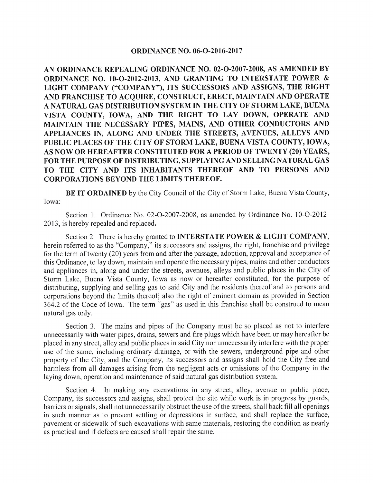## ORDINANCE NO. 06-0-2016-2017

AN ORDINANCE REPEALING ORDINANCE NO. 02-0-2007-2008, AS AMENDED BY ORDINANCE NO. 10-O-2012-2013, AND GRANTING TO INTERSTATE POWER & LIGHT COMPANY ("COMPANY"), ITS SUCCESSORS AND ASSIGNS, THE RIGHT AND FRANCHISE TO ACQUIRE, CONSTRUCT, ERECT, MAINTAIN AND OPERATE A NATURAL GAS DISTRIBUTION SYSTEM IN THE CITY OF STORM LAKE, BUENA VISTA COUNTY, IOWA, AND THE RIGHT TO LAY DOWN, OPERATE AND MAINTAIN THE NECESSARY PIPES, MAINS, AND OTHER CONDUCTORS AND APPLIANCES IN, ALONG AND UNDER THE STREETS, AVENUES, ALLEYS AND PUBLIC PLACES OF THE CITY OF STORM LAKE, BUENA VISTA COUNTY, IOWA, AS NOW OR HEREAFTER CONSTITUTED FOR A PERIOD OF TWENTY( 20) YEARS, FOR THE PURPOSE OF DISTRIBUTING, SUPPLYING AND SELLING NATURAL GAS TO THE CITY AND ITS INHABITANTS THEREOF AND TO PERSONS AND CORPORATIONS BEYOND THE LIMITS THEREOF.

BE IT ORDAINED by the City Council of the City of Storm Lake, Buena Vista County, Iowa:

Section 1. Ordinance No. 02-0-2007-2008, as amended by Ordinance No. 10-0-2012- 2013, is hereby repealed and replaced.

Section 2. There is hereby granted to **INTERSTATE POWER & LIGHT COMPANY**, herein referred to as the "Company," its successors and assigns, the right, franchise and privilege for the term of twenty (20) years from and after the passage, adoption, approval and acceptance of this Ordinance, to lay down, maintain and operate the necessary pipes, mains and other conductors and appliances in, along and under the streets, avenues, alleys and public places in the City of Storm Lake, Buena Vista County, Iowa as now or hereafter constituted, for the purpose of distributing, supplying and selling gas to said City and the residents thereof and to persons and corporations beyond the limits thereof; also the right of eminent domain as provided in Section 364.2 of the Code of Iowa. The term "gas" as used in this franchise shall be construed to mean natural gas only.

Section 3. The mains and pipes of the Company must be so placed as not to interfere unnecessarily with water pipes, drains, sewers and fire plugs which have been or may hereafter be placed in any street, alley and public places in said City nor unnecessarily interfere with the proper use of the same, including ordinary drainage, or with the sewers, underground pipe and other property of the City, and the Company, its successors and assigns shall hold the City free and harmless from all damages arising from the negligent acts or omissions of the Company in the laying down, operation and maintenance of said natural gas distribution system.

Section 4. In making any excavations in any street, alley, avenue or public place, Company, its successors and assigns, shall protect the site while work is in progress by guards, barriers or signals, shall not unnecessarily obstruct the use of the streets, shall back fill all openings in such manner as to prevent settling or depressions in surface, and shall replace the surface, pavement or sidewalk of such excavations with same materials, restoring the condition as nearly as practical and if defects are caused shall repair the same.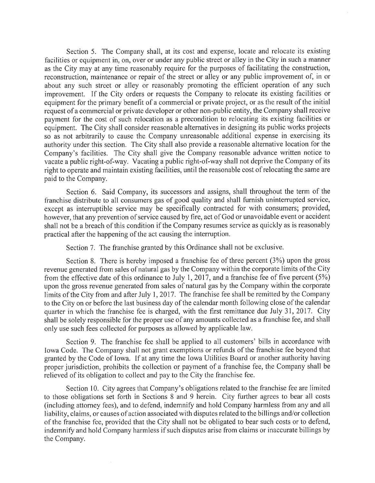Section 5. The Company shall, at its cost and expense, locate and relocate its existing facilities or equipment in, on, over or under any public street or alley in the City in such a manner as the City may at any time reasonably require for the purposes of facilitating the construction, reconstruction, maintenance or repair of the street or alley or any public improvement of, in or about any such street or alley or reasonably promoting the efficient operation of any such improvement. If the City orders or requests the Company to relocate its existing facilities or equipment for the primary benefit of a commercial or private project, or as the result of the initial request of a commercial or private developer or other non- public entity, the Company shall receive payment for the cost of such relocation as a precondition to relocating its existing facilities or equipment. The City shall consider reasonable alternatives in designing its public works projects so as not arbitrarily to cause the Company unreasonable additional expense in exercising its authority under this section. The City shall also provide a reasonable alternative location for the Company's facilities. The City shall give the Company reasonable advance written notice to vacate a public right-of-way. Vacating a public right-of-way shall not deprive the Company of its right to operate and maintain existing facilities, until the reasonable cost ofrelocating the same are paid to the Company.

Section 6. Said Company, its successors and assigns, shall throughout the term of the franchise distribute to all consumers gas of good quality and shall furnish uninterrupted service, except as interruptible service may be specifically contracted for with consumers; provided, however, that any prevention of service caused by fire, act of God or unavoidable event or accident shall not be a breach of this condition if the Company resumes service as quickly as is reasonably practical after the happening of the act causing the interruption.

Section 7. The franchise granted by this Ordinance shall not be exclusive.

Section 8. There is hereby imposed a franchise fee of three percent  $(3%)$  upon the gross revenue generated from sales of natural gas by the Company within the corporate limits of the City from the effective date of this ordinance to July 1, 2017, and a franchise fee of five percent  $(5%)$ upon the gross revenue generated from sales of natural gas by the Company within the corporate limits of the City from and after July 1, 2017. The franchise fee shall be remitted by the Company to the City on or before the last business day of the calendar month following close of the calendar quarter in which the franchise fee is charged, with the first remittance due July 31, 2017. City shall be solely responsible for the proper use of any amounts collected as a franchise fee, and shall only use such fees collected for purposes as allowed by applicable law.

Section 9. The franchise fee shall be applied to all customers' bills in accordance with Iowa Code. The Company shall not grant exemptions or refunds of the franchise fee beyond that granted by the Code of Iowa. If at any time the Iowa Utilities Board or another authority having proper jurisdiction, prohibits the collection or payment of a franchise fee, the Company shall be relieved of its obligation to collect and pay to the City the franchise fee.

Section 10. City agrees that Company's obligations related to the franchise fee are limited to those obligations set forth in Sections <sup>8</sup> and 9 herein. City further agrees to bear all costs including attorney fees), and to defend, indemnify and hold Company harmless from any and all liability, claims, or causes of action associated with disputes related to the billings and/or collection of the franchise fee, provided that the City shall not be obligated to bear such costs or to defend, indemnify and hold Company harmless if such disputes arise from claims or inaccurate billings by the Company.